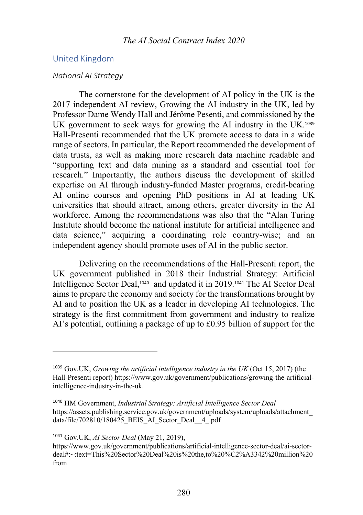# United Kingdom

### *National AI Strategy*

The cornerstone for the development of AI policy in the UK is the 2017 independent AI review, Growing the AI industry in the UK, led by Professor Dame Wendy Hall and Jérôme Pesenti, and commissioned by the UK government to seek ways for growing the AI industry in the UK.<sup>1039</sup> Hall-Presenti recommended that the UK promote access to data in a wide range of sectors. In particular, the Report recommended the development of data trusts, as well as making more research data machine readable and "supporting text and data mining as a standard and essential tool for research." Importantly, the authors discuss the development of skilled expertise on AI through industry-funded Master programs, credit-bearing AI online courses and opening PhD positions in AI at leading UK universities that should attract, among others, greater diversity in the AI workforce. Among the recommendations was also that the "Alan Turing Institute should become the national institute for artificial intelligence and data science," acquiring a coordinating role country-wise; and an independent agency should promote uses of AI in the public sector.

Delivering on the recommendations of the Hall-Presenti report, the UK government published in 2018 their Industrial Strategy: Artificial Intelligence Sector Deal,1040 and updated it in 2019.<sup>1041</sup> The AI Sector Deal aims to prepare the economy and society for the transformations brought by AI and to position the UK as a leader in developing AI technologies. The strategy is the first commitment from government and industry to realize AI's potential, outlining a package of up to £0.95 billion of support for the

<sup>1041</sup> Gov.UK, *AI Sector Deal* (May 21, 2019),

<sup>1039</sup> Gov.UK, *Growing the artificial intelligence industry in the UK* (Oct 15, 2017) (the Hall-Presenti report) https://www.gov.uk/government/publications/growing-the-artificialintelligence-industry-in-the-uk.

<sup>1040</sup> HM Government, *Industrial Strategy: Artificial Intelligence Sector Deal* https://assets.publishing.service.gov.uk/government/uploads/system/uploads/attachment\_ data/file/702810/180425\_BEIS\_AI\_Sector\_Deal\_\_4\_.pdf

https://www.gov.uk/government/publications/artificial-intelligence-sector-deal/ai-sectordeal#:~:text=This%20Sector%20Deal%20is%20the,to%20%C2%A3342%20million%20 from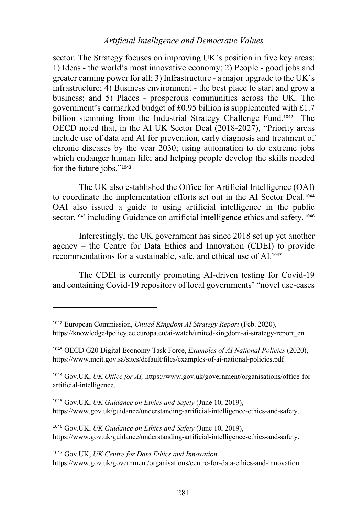sector. The Strategy focuses on improving UK's position in five key areas: 1) Ideas - the world's most innovative economy; 2) People - good jobs and greater earning power for all; 3) Infrastructure - a major upgrade to the UK's infrastructure; 4) Business environment - the best place to start and grow a business; and 5) Places - prosperous communities across the UK. The government's earmarked budget of £0.95 billion is supplemented with £1.7 billion stemming from the Industrial Strategy Challenge Fund.<sup>1042</sup> The OECD noted that, in the AI UK Sector Deal (2018-2027), "Priority areas include use of data and AI for prevention, early diagnosis and treatment of chronic diseases by the year 2030; using automation to do extreme jobs which endanger human life; and helping people develop the skills needed for the future jobs."<sup>1043</sup>

The UK also established the Office for Artificial Intelligence (OAI) to coordinate the implementation efforts set out in the AI Sector Deal.<sup>1044</sup> OAI also issued a guide to using artificial intelligence in the public sector,<sup>1045</sup> including Guidance on artificial intelligence ethics and safety.<sup>1046</sup>

Interestingly, the UK government has since 2018 set up yet another agency – the Centre for Data Ethics and Innovation (CDEI) to provide recommendations for a sustainable, safe, and ethical use of AI.<sup>1047</sup>

The CDEI is currently promoting AI-driven testing for Covid-19 and containing Covid-19 repository of local governments' "novel use-cases

<sup>1042</sup> European Commission, *United Kingdom AI Strategy Report* (Feb. 2020), https://knowledge4policy.ec.europa.eu/ai-watch/united-kingdom-ai-strategy-report\_en

<sup>1043</sup> OECD G20 Digital Economy Task Force, *Examples of AI National Policies* (2020), https://www.mcit.gov.sa/sites/default/files/examples-of-ai-national-policies.pdf

<sup>1044</sup> Gov.UK, *UK Office for AI,* https://www.gov.uk/government/organisations/office-forartificial-intelligence.

<sup>1045</sup> Gov.UK, *UK Guidance on Ethics and Safety* (June 10, 2019), https://www.gov.uk/guidance/understanding-artificial-intelligence-ethics-and-safety.

<sup>1046</sup> Gov.UK, *UK Guidance on Ethics and Safety* (June 10, 2019), https://www.gov.uk/guidance/understanding-artificial-intelligence-ethics-and-safety.

<sup>1047</sup> Gov.UK, *UK Centre for Data Ethics and Innovation,* https://www.gov.uk/government/organisations/centre-for-data-ethics-and-innovation.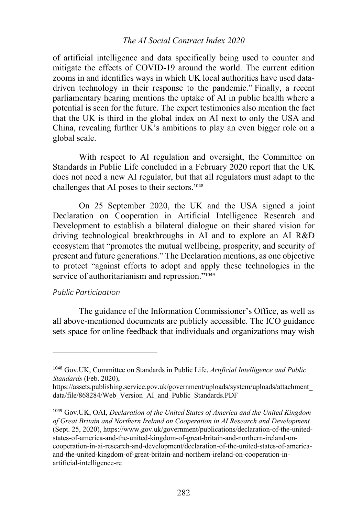## *The AI Social Contract Index 2020*

of artificial intelligence and data specifically being used to counter and mitigate the effects of COVID-19 around the world. The current edition zooms in and identifies ways in which UK local authorities have used datadriven technology in their response to the pandemic." Finally, a recent parliamentary hearing mentions the uptake of AI in public health where a potential is seen for the future. The expert testimonies also mention the fact that the UK is third in the global index on AI next to only the USA and China, revealing further UK's ambitions to play an even bigger role on a global scale.

With respect to AI regulation and oversight, the Committee on Standards in Public Life concluded in a February 2020 report that the UK does not need a new AI regulator, but that all regulators must adapt to the challenges that AI poses to their sectors.<sup>1048</sup>

On 25 September 2020, the UK and the USA signed a joint Declaration on Cooperation in Artificial Intelligence Research and Development to establish a bilateral dialogue on their shared vision for driving technological breakthroughs in AI and to explore an AI R&D ecosystem that "promotes the mutual wellbeing, prosperity, and security of present and future generations." The Declaration mentions, as one objective to protect "against efforts to adopt and apply these technologies in the service of authoritarianism and repression."<sup>1049</sup>

### *Public Participation*

The guidance of the Information Commissioner's Office, as well as all above-mentioned documents are publicly accessible. The ICO guidance sets space for online feedback that individuals and organizations may wish

<sup>1048</sup> Gov.UK, Committee on Standards in Public Life, *Artificial Intelligence and Public Standards* (Feb. 2020),

https://assets.publishing.service.gov.uk/government/uploads/system/uploads/attachment\_ data/file/868284/Web\_Version\_AI\_and\_Public\_Standards.PDF

<sup>1049</sup> Gov.UK, OAI, *Declaration of the United States of America and the United Kingdom of Great Britain and Northern Ireland on Cooperation in AI Research and Development* (Sept. 25, 2020), https://www.gov.uk/government/publications/declaration-of-the-unitedstates-of-america-and-the-united-kingdom-of-great-britain-and-northern-ireland-oncooperation-in-ai-research-and-development/declaration-of-the-united-states-of-americaand-the-united-kingdom-of-great-britain-and-northern-ireland-on-cooperation-inartificial-intelligence-re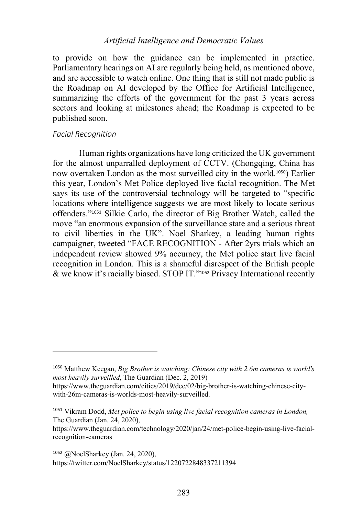to provide on how the guidance can be implemented in practice. Parliamentary hearings on AI are regularly being held, as mentioned above, and are accessible to watch online. One thing that is still not made public is the Roadmap on AI developed by the Office for Artificial Intelligence, summarizing the efforts of the government for the past 3 years across sectors and looking at milestones ahead; the Roadmap is expected to be published soon.

#### *Facial Recognition*

Human rights organizations have long criticized the UK government for the almost unparralled deployment of CCTV. (Chongqing, China has now overtaken London as the most surveilled city in the world.1050) Earlier this year, London's Met Police deployed live facial recognition. The Met says its use of the controversial technology will be targeted to "specific locations where intelligence suggests we are most likely to locate serious offenders."<sup>1051</sup> Silkie Carlo, the director of Big Brother Watch, called the move "an enormous expansion of the surveillance state and a serious threat to civil liberties in the UK". Noel Sharkey, a leading human rights campaigner, tweeted "FACE RECOGNITION - After 2yrs trials which an independent review showed 9% accuracy, the Met police start live facial recognition in London. This is a shameful disrespect of the British people & we know it's racially biased. STOP IT."<sup>1052</sup> Privacy International recently

<sup>1050</sup> Matthew Keegan, *Big Brother is watching: Chinese city with 2.6m cameras is world's most heavily surveilled*, The Guardian (Dec. 2, 2019)

https://www.theguardian.com/cities/2019/dec/02/big-brother-is-watching-chinese-citywith-26m-cameras-is-worlds-most-heavily-surveilled.

<sup>1051</sup> Vikram Dodd, *Met police to begin using live facial recognition cameras in London,* The Guardian (Jan. 24, 2020),

https://www.theguardian.com/technology/2020/jan/24/met-police-begin-using-live-facialrecognition-cameras

<sup>1052</sup> @NoelSharkey (Jan. 24, 2020), https://twitter.com/NoelSharkey/status/1220722848337211394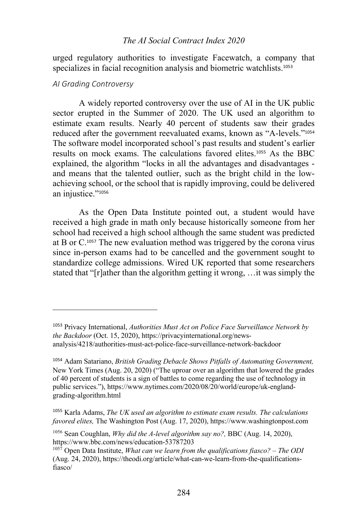## *The AI Social Contract Index 2020*

urged regulatory authorities to investigate Facewatch, a company that specializes in facial recognition analysis and biometric watchlists.<sup>1053</sup>

#### *AI Grading Controversy*

A widely reported controversy over the use of AI in the UK public sector erupted in the Summer of 2020. The UK used an algorithm to estimate exam results. Nearly 40 percent of students saw their grades reduced after the government reevaluated exams, known as "A-levels."<sup>1054</sup> The software model incorporated school's past results and student's earlier results on mock exams. The calculations favored elites.<sup>1055</sup> As the BBC explained, the algorithm "locks in all the advantages and disadvantages and means that the talented outlier, such as the bright child in the lowachieving school, or the school that is rapidly improving, could be delivered an injustice."1056

As the Open Data Institute pointed out, a student would have received a high grade in math only because historically someone from her school had received a high school although the same student was predicted at B or C.<sup>1057</sup> The new evaluation method was triggered by the corona virus since in-person exams had to be cancelled and the government sought to standardize college admissions. Wired UK reported that some researchers stated that "[r]ather than the algorithm getting it wrong, …it was simply the

<sup>1053</sup> Privacy International, *Authorities Must Act on Police Face Surveillance Network by the Backdoor* (Oct. 15, 2020), https://privacyinternational.org/newsanalysis/4218/authorities-must-act-police-face-surveillance-network-backdoor

<sup>1054</sup> Adam Satariano, *British Grading Debacle Shows Pitfalls of Automating Government,* New York Times (Aug. 20, 2020) ("The uproar over an algorithm that lowered the grades of 40 percent of students is a sign of battles to come regarding the use of technology in public services."), https://www.nytimes.com/2020/08/20/world/europe/uk-englandgrading-algorithm.html

<sup>1055</sup> Karla Adams, *The UK used an algorithm to estimate exam results. The calculations favored elites,* The Washington Post (Aug. 17, 2020), https://www.washingtonpost.com

<sup>1056</sup> Sean Coughlan, *Why did the A-level algorithm say no?,* BBC (Aug. 14, 2020), https://www.bbc.com/news/education-53787203

<sup>1057</sup> Open Data Institute, *What can we learn from the qualifications fiasco? – The ODI* (Aug. 24, 2020), https://theodi.org/article/what-can-we-learn-from-the-qualificationsfiasco/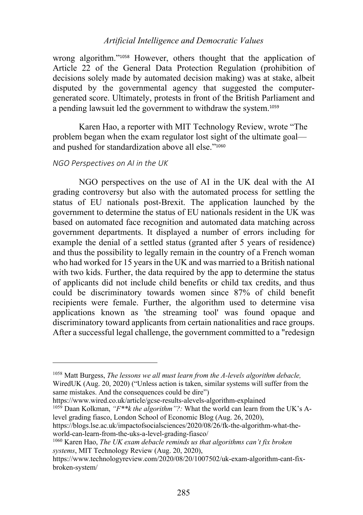wrong algorithm."<sup>1058</sup> However, others thought that the application of Article 22 of the General Data Protection Regulation (prohibition of decisions solely made by automated decision making) was at stake, albeit disputed by the governmental agency that suggested the computergenerated score. Ultimately, protests in front of the British Parliament and a pending lawsuit led the government to withdraw the system.<sup>1059</sup>

Karen Hao, a reporter with MIT Technology Review, wrote "The problem began when the exam regulator lost sight of the ultimate goal and pushed for standardization above all else."<sup>1060</sup>

### *NGO Perspectives on AI in the UK*

NGO perspectives on the use of AI in the UK deal with the AI grading controversy but also with the automated process for settling the status of EU nationals post-Brexit. The application launched by the government to determine the status of EU nationals resident in the UK was based on automated face recognition and automated data matching across government departments. It displayed a number of errors including for example the denial of a settled status (granted after 5 years of residence) and thus the possibility to legally remain in the country of a French woman who had worked for 15 years in the UK and was married to a British national with two kids. Further, the data required by the app to determine the status of applicants did not include child benefits or child tax credits, and thus could be discriminatory towards women since 87% of child benefit recipients were female. Further, the algorithm used to determine visa applications known as 'the streaming tool' was found opaque and discriminatory toward applicants from certain nationalities and race groups. After a successful legal challenge, the government committed to a "redesign

https://www.wired.co.uk/article/gcse-results-alevels-algorithm-explained

<sup>1058</sup> Matt Burgess, *The lessons we all must learn from the A-levels algorithm debacle,* WiredUK (Aug. 20, 2020) ("Unless action is taken, similar systems will suffer from the same mistakes. And the consequences could be dire")

<sup>1059</sup> Daan Kolkman, *"F\*\*k the algorithm"?:* What the world can learn from the UK's Alevel grading fiasco, London School of Economic Blog (Aug. 26, 2020),

https://blogs.lse.ac.uk/impactofsocialsciences/2020/08/26/fk-the-algorithm-what-theworld-can-learn-from-the-uks-a-level-grading-fiasco/

<sup>1060</sup> Karen Hao, *The UK exam debacle reminds us that algorithms can't fix broken systems*, MIT Technology Review (Aug. 20, 2020),

https://www.technologyreview.com/2020/08/20/1007502/uk-exam-algorithm-cant-fixbroken-system/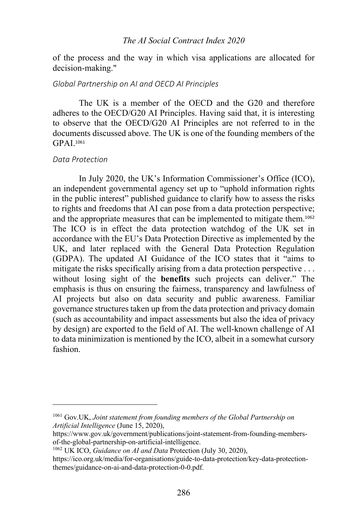## *The AI Social Contract Index 2020*

of the process and the way in which visa applications are allocated for decision-making."

# *Global Partnership on AI and OECD AI Principles*

The UK is a member of the OECD and the G20 and therefore adheres to the OECD/G20 AI Principles. Having said that, it is interesting to observe that the OECD/G20 AI Principles are not referred to in the documents discussed above. The UK is one of the founding members of the GPAI. 1061

#### *Data Protection*

In July 2020, the UK's Information Commissioner's Office (ICO), an independent governmental agency set up to "uphold information rights in the public interest" published guidance to clarify how to assess the risks to rights and freedoms that AI can pose from a data protection perspective; and the appropriate measures that can be implemented to mitigate them.<sup>1062</sup> The ICO is in effect the data protection watchdog of the UK set in accordance with the EU's Data Protection Directive as implemented by the UK, and later replaced with the General Data Protection Regulation (GDPA). The updated AI Guidance of the ICO states that it "aims to mitigate the risks specifically arising from a data protection perspective . . . without losing sight of the **benefits** such projects can deliver." The emphasis is thus on ensuring the fairness, transparency and lawfulness of AI projects but also on data security and public awareness. Familiar governance structures taken up from the data protection and privacy domain (such as accountability and impact assessments but also the idea of privacy by design) are exported to the field of AI. The well-known challenge of AI to data minimization is mentioned by the ICO, albeit in a somewhat cursory fashion.

<sup>1061</sup> Gov.UK, *Joint statement from founding members of the Global Partnership on Artificial Intelligence* (June 15, 2020),

https://www.gov.uk/government/publications/joint-statement-from-founding-membersof-the-global-partnership-on-artificial-intelligence.

<sup>1062</sup> UK ICO, *Guidance on AI and Data* Protection (July 30, 2020),

https://ico.org.uk/media/for-organisations/guide-to-data-protection/key-data-protectionthemes/guidance-on-ai-and-data-protection-0-0.pdf.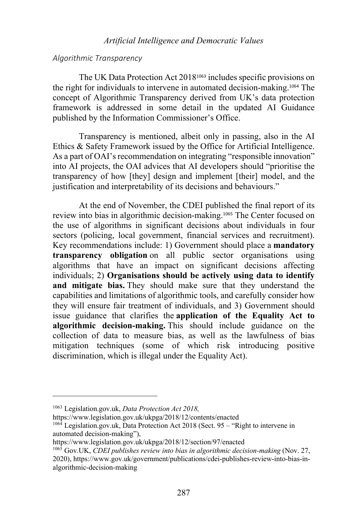#### *Algorithmic Transparency*

The UK Data Protection Act 2018<sup>1063</sup> includes specific provisions on the right for individuals to intervene in automated decision-making. <sup>1064</sup> The concept of Algorithmic Transparency derived from UK's data protection framework is addressed in some detail in the updated AI Guidance published by the Information Commissioner's Office.

Transparency is mentioned, albeit only in passing, also in the AI Ethics & Safety Framework issued by the Office for Artificial Intelligence. As a part of OAI's recommendation on integrating "responsible innovation" into AI projects, the OAI advices that AI developers should "prioritise the transparency of how [they] design and implement [their] model, and the justification and interpretability of its decisions and behaviours."

At the end of November, the CDEI published the final report of its review into bias in algorithmic decision-making.<sup>1065</sup> The Center focused on the use of algorithms in significant decisions about individuals in four sectors (policing, local government, financial services and recruitment). Key recommendations include: 1) Government should place a **mandatory transparency obligation** on all public sector organisations using algorithms that have an impact on significant decisions affecting individuals; 2) **Organisations should be actively using data to identify and mitigate bias.** They should make sure that they understand the capabilities and limitations of algorithmic tools, and carefully consider how they will ensure fair treatment of individuals, and 3) Government should issue guidance that clarifies the **application of the Equality Act to algorithmic decision-making.** This should include guidance on the collection of data to measure bias, as well as the lawfulness of bias mitigation techniques (some of which risk introducing positive discrimination, which is illegal under the Equality Act).

https://www.legislation.gov.uk/ukpga/2018/12/contents/enacted

<sup>1063</sup> Legislation.gov.uk, *Data Protection Act 2018,*

 $106\overline{4}$  Legislation.gov.uk, Data Protection Act 2018 (Sect. 95 – "Right to intervene in automated decision-making"),

https://www.legislation.gov.uk/ukpga/2018/12/section/97/enacted

<sup>1065</sup> Gov.UK, *CDEI publishes review into bias in algorithmic decision-making* (Nov. 27, 2020), https://www.gov.uk/government/publications/cdei-publishes-review-into-bias-inalgorithmic-decision-making